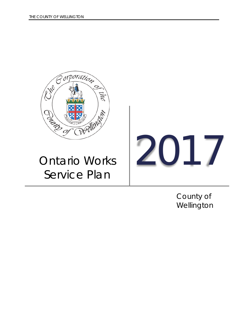

# Ontario Works Service Plan

2017

County of Wellington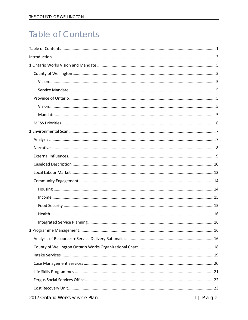# <span id="page-1-0"></span>**Table of Contents**

| $\sim$ $\sim$ $\sim$ |
|----------------------|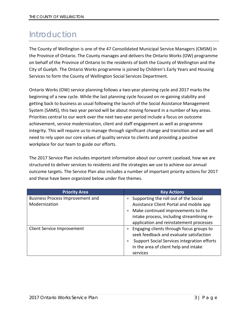# <span id="page-3-0"></span>Introduction

The County of Wellington is one of the 47 Consolidated Municipal Service Managers (CMSM) in the Province of Ontario. The County manages and delivers the Ontario Works (OW) programme on behalf of the Province of Ontario to the residents of both the County of Wellington and the City of Guelph. The Ontario Works programme is joined by Children's Early Years and Housing Services to form the County of Wellington Social Services Department.

Ontario Works (OW) service planning follows a two-year planning cycle and 2017 marks the beginning of a new cycle. While the last planning cycle focused on re-gaining stability and getting back to business as usual following the launch of the Social Assistance Management System (SAMS), this two year period will be about moving forward in a number of key areas. Priorities central to our work over the next two-year period include a focus on outcome achievement, service modernization, client and staff engagement as well as programme integrity. This will require us to manage through significant change and transition and we will need to rely upon our core values of quality service to clients and providing a positive workplace for our team to guide our efforts.

The 2017 Service Plan includes important information about our current caseload, how we are structured to deliver services to residents and the strategies we use to achieve our annual outcome targets. The Service Plan also includes a number of important priority actions for 2017 and these have been organized below under five themes.

| <b>Priority Area</b>                    | <b>Key Actions</b>                          |
|-----------------------------------------|---------------------------------------------|
| <b>Business Process Improvement and</b> | Supporting the roll out of the Social       |
| Modernization                           | Assistance Client Portal and mobile app     |
|                                         | Make continued improvements to the          |
|                                         | intake process, including streamlining re-  |
|                                         | application and reinstatement processes     |
| Client Service Improvement              | Engaging clients through focus groups to    |
|                                         | seek feedback and evaluate satisfaction     |
|                                         | Support Social Services integration efforts |
|                                         | in the area of client help and intake       |
|                                         | services                                    |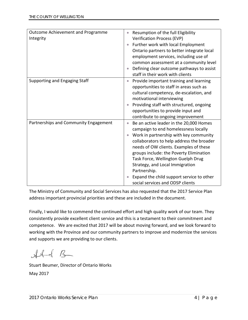| Outcome Achievement and Programme<br>Integrity | Resumption of the full Eligibility<br>$\bullet$<br><b>Verification Process (EVP)</b><br>Further work with local Employment<br>$\bullet$<br>Ontario partners to better integrate local<br>employment services, including use of<br>common assessment at a community level<br>Defining clear outcome pathways to assist                                                                                                                                           |
|------------------------------------------------|-----------------------------------------------------------------------------------------------------------------------------------------------------------------------------------------------------------------------------------------------------------------------------------------------------------------------------------------------------------------------------------------------------------------------------------------------------------------|
|                                                | staff in their work with clients                                                                                                                                                                                                                                                                                                                                                                                                                                |
| Supporting and Engaging Staff                  | Provide important training and learning<br>$\bullet$<br>opportunities to staff in areas such as<br>cultural competency, de-escalation, and<br>motivational interviewing<br>Providing staff with structured, ongoing<br>opportunities to provide input and<br>contribute to ongoing improvement                                                                                                                                                                  |
| Partnerships and Community Engagement          | Be an active leader in the 20,000 Homes<br>$\bullet$<br>campaign to end homelessness locally<br>Work in partnership with key community<br>$\bullet$<br>collaborators to help address the broader<br>needs of OW clients. Examples of these<br>groups include: the Poverty Elimination<br>Task Force, Wellington Guelph Drug<br>Strategy, and Local Immigration<br>Partnership.<br>Expand the child support service to other<br>social services and ODSP clients |

The Ministry of Community and Social Services has also requested that the 2017 Service Plan address important provincial priorities and these are included in the document.

Finally, I would like to commend the continued effort and high quality work of our team. They consistently provide excellent client service and this is a testament to their commitment and competence. We are excited that 2017 will be about moving forward, and we look forward to working with the Province and our community partners to improve and modernize the services and supports we are providing to our clients.

 $#4dB$ 

Stuart Beumer, Director of Ontario Works May 2017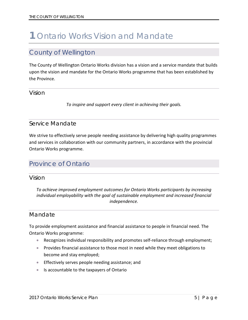# <span id="page-5-0"></span>**1** Ontario Works Vision and Mandate

### <span id="page-5-1"></span>County of Wellington

The County of Wellington Ontario Works division has a vision and a service mandate that builds upon the vision and mandate for the Ontario Works programme that has been established by the Province.

#### <span id="page-5-2"></span>Vision

*To inspire and support every client in achieving their goals.*

#### <span id="page-5-3"></span>Service Mandate

We strive to effectively serve people needing assistance by delivering high quality programmes and services in collaboration with our community partners, in accordance with the provincial Ontario Works programme.

## <span id="page-5-4"></span>Province of Ontario

<span id="page-5-5"></span>Vision

*To achieve improved employment outcomes for Ontario Works participants by increasing individual employability with the goal of sustainable employment and increased financial independence.*

#### <span id="page-5-6"></span>Mandate

To provide employment assistance and financial assistance to people in financial need. The Ontario Works programme:

- Recognizes individual responsibility and promotes self-reliance through employment;
- Provides financial assistance to those most in need while they meet obligations to become and stay employed;
- Effectively serves people needing assistance; and
- Is accountable to the taxpayers of Ontario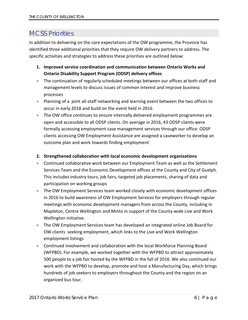## <span id="page-6-0"></span>MCSS Priorities

In addition to delivering on the core expectations of the OW programme, the Province has identified three additional priorities that they require OW delivery partners to address. The specific activities and strategies to address these priorities are outlined below:

- **1. Improved service coordination and communication between Ontario Works and Ontario Disability Support Program (ODSP) delivery offices**
- The continuation of regularly scheduled meetings between our offices at both staff and management levels to discuss issues of common interest and improve business processes
- Planning of a joint all-staff networking and learning event between the two offices to occur in early 2018 and build on the event held in 2016
- The OW office continues to ensure internally delivered employment programmes are open and accessible to all ODSP clients. On average in 2016, 43 ODSP clients were formally accessing employment case management services through our office. ODSP clients accessing OW Employment Assistance are assigned a caseworker to develop an outcome plan and work towards finding employment

#### **2. Strengthened collaboration with local economic development organizations**

- Continued collaborative work between our Employment Team as well as the Settlement Services Team and the Economic Development offices at the County and City of Guelph. This includes industry tours, job fairs, targeted job placements, sharing of data and participation on working groups
- The OW Employment Services team worked closely with economic development offices in 2016 to build awareness of OW Employment Services for employers through regular meetings with economic development managers from across the County, including in Mapleton, Centre Wellington and Minto in support of the County-wide Live and Work Wellington initiative.
- The OW Employment Services team has developed an integrated online Job Board for OW clients seeking employment, which links to the Live and Work Wellington employment listings
- Continued involvement and collaboration with the local Workforce Planning Board (WFPBD). For example, we worked together with the WFPBD to attract approximately 500 people to a job fair hosted by the WFPBD in the fall of 2016. We also continued our work with the WFPBD to develop, promote and host a Manufacturing Day, which brings hundreds of job seekers to employers throughout the County and the region on an organized bus tour.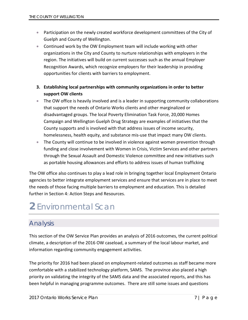- Participation on the newly created workforce development committees of the City of Guelph and County of Wellington.
- Continued work by the OW Employment team will include working with other organizations in the City and County to nurture relationships with employers in the region. The initiatives will build on current successes such as the annual Employer Recognition Awards, which recognize employers for their leadership in providing opportunities for clients with barriers to employment.
- **3. Establishing local partnerships with community organizations in order to better support OW clients**
- The OW office is heavily involved and is a leader in supporting community collaborations that support the needs of Ontario Works clients and other marginalized or disadvantaged groups. The local Poverty Elimination Task Force, 20,000 Homes Campaign and Wellington Guelph Drug Strategy are examples of initiatives that the County supports and is involved with that address issues of income security, homelessness, health equity, and substance mis-use that impact many OW clients.
- The County will continue to be involved in violence against women prevention through funding and close involvement with Women in Crisis, Victim Services and other partners through the Sexual Assault and Domestic Violence committee and new initiatives such as portable housing allowances and efforts to address issues of human trafficking

The OW office also continues to play a lead role in bringing together local Employment Ontario agencies to better integrate employment services and ensure that services are in place to meet the needs of those facing multiple barriers to employment and education. This is detailed further in Section 4: Action Steps and Resources.

# <span id="page-7-0"></span>**2** Environmental Scan

## <span id="page-7-1"></span>Analysis

This section of the OW Service Plan provides an analysis of 2016 outcomes, the current political climate, a description of the 2016 OW caseload, a summary of the local labour market, and information regarding community engagement activities.

The priority for 2016 had been placed on employment-related outcomes as staff became more comfortable with a stabilized technology platform, SAMS. The province also placed a high priority on validating the integrity of the SAMS data and the associated reports, and this has been helpful in managing programme outcomes. There are still some issues and questions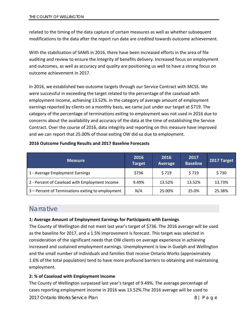related to the timing of the data capture of certain measures as well as whether subsequent modifications to the data after the report run date are credited towards outcome achievement.

With the stabilization of SAMS in 2016, there have been increased efforts in the area of file auditing and review to ensure the integrity of benefits delivery. Increased focus on employment and outcomes, as well as accuracy and quality are positioning us well to have a strong focus on outcome achievement in 2017.

In 2016, we established two outcome targets through our Service Contract with MCSS. We were successful in exceeding the target related to the percentage of the caseload with employment income, achieving 13.52%. In the category of average amount of employment earnings reported by clients on a monthly basis, we came just under our target at \$719. The category of the percentage of terminations exiting to employment was not used in 2016 due to concerns about the availability and accuracy of the data at the time of establishing the Service Contract. Over the course of 2016, data integrity and reporting on this measure have improved and we can report that 25.00% of those exiting OW did so due to employment.

#### **2016 Outcome Funding Results and 2017 Baseline Forecasts**

| <b>Measure</b>                                    | 2016<br><b>Target</b> | 2016<br>Average | 2017<br><b>Baseline</b> | 2017 Target |
|---------------------------------------------------|-----------------------|-----------------|-------------------------|-------------|
| 1 - Average Employment Earnings                   | \$736                 | \$719           | \$719                   | \$730       |
| 2 - Percent of Caseload with Employment Income    | 9.49%                 | 13.52%          | 13.52%                  | 13.73%      |
| 3 - Percent of Terminations exiting to employment | N/A                   | 25.00%          | 25.0%                   | 25.38%      |

#### <span id="page-8-0"></span>**Narrative**

#### **1: Average Amount of Employment Earnings for Participants with Earnings**

The County of Wellington did not meet last year's target of \$736. The 2016 average will be used as the baseline for 2017, and a 1.5% improvement is forecast. This target was selected in consideration of the significant needs that OW clients on average experience in achieving increased and sustained employment earnings. Unemployment is low in Guelph and Wellington and the small number of individuals and families that receive Ontario Works (approximately 1.6% of the total population) tend to have more profound barriers to obtaining and maintaining employment.

#### **2: % of Caseload with Employment Income**

The County of Wellington surpassed last year's target of 9.49%. The average percentage of cases reporting employment income in 2016 was 13.52%.The 2016 average will be used to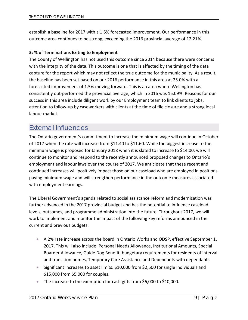establish a baseline for 2017 with a 1.5% forecasted improvement. Our performance in this outcome area continues to be strong, exceeding the 2016 provincial average of 12.21%.

#### **3: % of Terminations Exiting to Employment**

The County of Wellington has not used this outcome since 2014 because there were concerns with the integrity of the data. This outcome is one that is affected by the timing of the data capture for the report which may not reflect the true outcome for the municipality. As a result, the baseline has been set based on our 2016 performance in this area at 25.0% with a forecasted improvement of 1.5% moving forward. This is an area where Wellington has consistently out-performed the provincial average, which in 2016 was 15.09%. Reasons for our success in this area include diligent work by our Employment team to link clients to jobs; attention to follow-up by caseworkers with clients at the time of file closure and a strong local labour market.

### <span id="page-9-0"></span>External Influences

The Ontario government's commitment to increase the minimum wage will continue in October of 2017 when the rate will increase from \$11.40 to \$11.60. While the biggest increase to the minimum wage is proposed for January 2018 when it is slated to increase to \$14.00, we will continue to monitor and respond to the recently announced proposed changes to Ontario's employment and labour laws over the course of 2017. We anticipate that these recent and continued increases will positively impact those on our caseload who are employed in positions paying minimum wage and will strengthen performance in the outcome measures associated with employment earnings.

The Liberal Government's agenda related to social assistance reform and modernization was further advanced in the 2017 provincial budget and has the potential to influence caseload levels, outcomes, and programme administration into the future. Throughout 2017, we will work to implement and monitor the impact of the following key reforms announced in the current and previous budgets:

- A 2% rate increase across the board in Ontario Works and ODSP, effective September 1, 2017. This will also include: Personal Needs Allowance, Institutional Amounts, Special Boarder Allowance, Guide Dog Benefit, budgetary requirements for residents of interval and transition homes, Temporary Care Assistance and Dependants with dependants
- Significant increases to asset limits: \$10,000 from \$2,500 for single individuals and \$15,000 from \$5,000 for couples.
- The increase to the exemption for cash gifts from \$6,000 to \$10,000.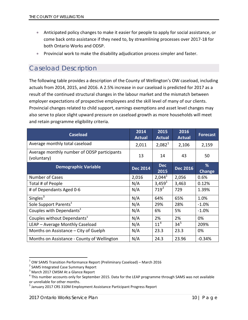- Anticipated policy changes to make it easier for people to apply for social assistance, or come back onto assistance if they need to, by streamlining processes over 2017-18 for both Ontario Works and ODSP.
- Provincial work to make the disability adjudication process simpler and faster.

## <span id="page-10-0"></span>Caseload Description

The following table provides a description of the County of Wellington's OW caseload, including actuals from 2014, 2015, and 2016. A 2.5% increase in our caseload is predicted for 2017 as a result of the continued structural changes in the labour market and the mismatch between employer expectations of prospective employees and the skill level of many of our clients. Provincial changes related to child support, earnings exemptions and asset level changes may also serve to place slight upward pressure on caseload growth as more households will meet and retain programme eligibility criteria.

| <b>Caseload</b>                                            | 2014<br><b>Actual</b> | 2015<br><b>Actual</b> | 2016<br><b>Actual</b> | <b>Forecast</b> |
|------------------------------------------------------------|-----------------------|-----------------------|-----------------------|-----------------|
| Average monthly total caseload                             | 2,011                 | $2,082^1$             | 2,106                 | 2,159           |
| Average monthly number of ODSP participants<br>(voluntary) | 13                    | 14                    | 43                    | 50              |
| <b>Demographic Variable</b>                                | <b>Dec 2014</b>       | <b>Dec</b><br>2015    | <b>Dec 2016</b>       | %<br>Change     |
| <b>Number of Cases</b>                                     | 2,016                 | $2,044^1$             | 2,056                 | 0.6%            |
| Total # of People                                          | N/A                   | 3,459 <sup>1</sup>    | 3,463                 | 0.12%           |
| # of Dependants Aged 0-6                                   | N/A                   | $719^2$               | 729                   | 1.39%           |
| Singles $3$                                                | N/A                   | 64%                   | 65%                   | 1.0%            |
| Sole Support Parents <sup>3</sup>                          | N/A                   | 29%                   | 28%                   | $-1.0%$         |
| Couples with Dependants <sup>3</sup>                       | N/A                   | 6%                    | 5%                    | $-1.0%$         |
| Couples without Dependants <sup>3</sup>                    | N/A                   | 2%                    | 2%                    | 0%              |
| LEAP - Average Monthly Caseload                            | N/A                   | 11 <sup>4</sup>       | $34^{5}$              | 209%            |
| Months on Assistance – City of Guelph                      | N/A                   | 23.3                  | 23.3                  | 0%              |
| Months on Assistance - County of Wellington                | N/A                   | 24.3                  | 23.96                 | $-0.34%$        |

<span id="page-10-1"></span><sup>&</sup>lt;sup>1</sup> OW SAMS Transition Performance Report (Preliminary Caseload) – March 2016 <sup>2</sup> SAMS Integrated Case Summary Report

<span id="page-10-2"></span>

<span id="page-10-3"></span><sup>&</sup>lt;sup>3</sup> March 2017 CMSM At a Glance Report

<span id="page-10-4"></span> $4$  This number accounts only for September 2015. Data for the LEAP programme through SAMS was not available or unreliable for other months.

<span id="page-10-5"></span><sup>&</sup>lt;sup>5</sup> January 2017 CRS 310M Employment Assistance Participant Progress Report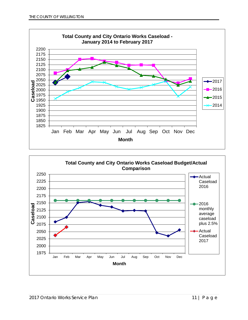

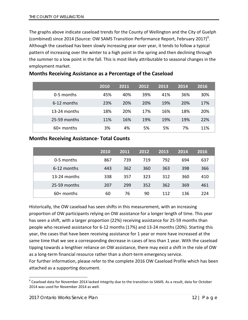The graphs above indicate caseload trends for the County of Wellington and the City of Guelph (combined) since 2014 (Source: OW SAMS Transition Performance Report, February 2017)<sup>[6](#page-12-0)</sup>. Although the caseload has been slowly increasing year over year, it tends to follow a typical pattern of increasing over the winter to a high point in the spring and then declining through the summer to a low point in the fall. This is most likely attributable to seasonal changes in the employment market.

|              | 2010 | 2011 | 2012 | 2013 | 2014 | 2016 |
|--------------|------|------|------|------|------|------|
| 0-5 months   | 45%  | 40%  | 39%  | 41%  | 36%  | 30%  |
| 6-12 months  | 23%  | 20%  | 20%  | 19%  | 20%  | 17%  |
| 13-24 months | 18%  | 20%  | 17%  | 16%  | 18%  | 20%  |
| 25-59 months | 11%  | 16%  | 19%  | 19%  | 19%  | 22%  |
| $60+$ months | 3%   | 4%   | 5%   | 5%   | 7%   | 11%  |

#### **Months Receiving Assistance as a Percentage of the Caseload**

#### **Months Receiving Assistance- Total Counts**

|              | 2010 | 2011 | 2012 | 2013 | 2014 | 2016 |
|--------------|------|------|------|------|------|------|
| 0-5 months   | 867  | 739  | 719  | 792  | 694  | 637  |
| 6-12 months  | 443  | 362  | 360  | 363  | 398  | 366  |
| 13-24 months | 338  | 357  | 323  | 312  | 360  | 410  |
| 25-59 months | 207  | 299  | 352  | 362  | 369  | 461  |
| $60+$ months | 60   | 76   | 90   | 112  | 136  | 224  |

Historically, the OW caseload has seen shifts in this measurement, with an increasing proportion of OW participants relying on OW assistance for a longer length of time. This year has seen a shift, with a larger proportion (22%) receiving assistance for 25-59 months than people who received assistance for 6-12 months (17%) and 13-24 months (20%). Starting this year, the cases that have been receiving assistance for 1 year or more have increased at the same time that we see a corresponding decrease in cases of less than 1 year. With the caseload tipping towards a lengthier reliance on OW assistance, there may exist a shift in the role of OW as a long-term financial resource rather than a short-term emergency service. For further information, please refer to the complete 2016 OW Caseload Profile which has been attached as a supporting document.

<span id="page-12-0"></span> $^6$  Caseload data for November 2014 lacked integrity due to the transition to SAMS. As a result, data for October 2014 was used for November 2014 as well.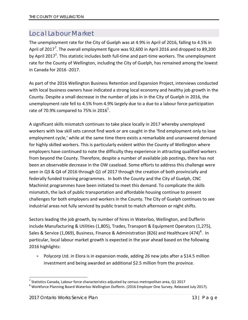## <span id="page-13-0"></span>Local Labour Market

The unemployment rate for the City of Guelph was at 4.9% in April of 2016, falling to 4.5% in April of 201[7](#page-13-1)<sup>7</sup>. The overall employment figure was 92,600 in April 2016 and dropped to 89,200 by April 2017<sup>1</sup>. This statistic includes both full-time and part-time workers. The unemployment rate for the County of Wellington, including the City of Guelph, has remained among the lowest in Canada for 2016 -2017.

As part of the 2016 Wellington Business Retention and Expansion Project, interviews conducted with local business owners have indicated a strong local economy and healthy job growth in the County. Despite a small decrease in the number of jobs in in the City of Guelph in 2016, the unemployment rate fell to 4.5% from 4.9% largely due to a due to a labour force participation rate of 70.9% compared to 75% in 2016<sup>1</sup>.

A significant skills mismatch continues to take place locally in 2017 whereby unemployed workers with low skill sets cannot find work or are caught in the 'find employment only to lose employment cycle,' while at the same time there exists a remarkable and unanswered demand for highly skilled workers. This is particularly evident within the County of Wellington where employers have continued to note the difficulty they experience in attracting qualified workers from beyond the County. Therefore, despite a number of available job postings, there has not been an observable decrease in the OW caseload. Some efforts to address this challenge were seen in Q3 & Q4 of 2016 through Q1 of 2017 through the creation of both provincially and federally funded training programmes. In both the County and the City of Guelph, CNC Machinist programmes have been initiated to meet this demand. To complicate the skills mismatch, the lack of public transportation and affordable housing continue to present challenges for both employers and workers in the County. The City of Guelph continues to see industrial areas not fully serviced by public transit to match afternoon or night shifts.

Sectors leading the job growth, by number of hires in Waterloo, Wellington, and Dufferin include Manufacturing & Utilities (1,805), Trades, Transport & Equipment Operators (1,275), Sales & Service (1,069), Business, Finance & Administration ([8](#page-13-2)26) and Healthcare (474)<sup>8</sup>. In particular, local labour market growth is expected in the year ahead based on the following 2016 highlights:

• Polycorp Ltd. in Elora is in expansion mode, adding 26 new jobs after a \$14.5 million investment and being awarded an additional \$2.5 million from the province.

<span id="page-13-1"></span><sup>&</sup>lt;sup>7</sup> Statistics Canada, Labour force characteristics adjusted by census metropolitan area, Q1 2017

<span id="page-13-2"></span><sup>&</sup>lt;sup>8</sup> Workforce Planning Board Waterloo Wellington Dufferin. (2016 Employer One Survey. Released July 2017).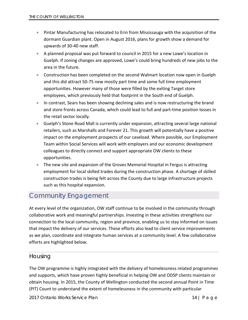- Pintar Manufacturing has relocated to Erin from Mississauga with the acquisition of the dormant Guardian plant. Open in August 2016, plans for growth show a demand for upwards of 30-40 new staff.
- A planned proposal was put forward to council in 2015 for a new Lowe's location in Guelph. If zoning changes are approved, Lowe's could bring hundreds of new jobs to the area in the future.
- Construction has been completed on the second Walmart location now open in Guelph and this did attract 50-75 new mostly part time and some full time employment opportunities. However many of those were filled by the exiting Target store employees, which previously held that footprint in the South end of Guelph.
- In contrast, Sears has been showing declining sales and is now restructuring the brand and store fronts across Canada, which could lead to full and part-time position losses in the retail sector locally.
- Guelph's Stone Road Mall is currently under expansion, attracting several large national retailers, such as Marshalls and Forever 21. This growth will potentially have a positive impact on the employment prospects of our caseload. Where possible, our Employment Team within Social Services will work with employers and our economic development colleagues to directly connect and support appropriate OW clients to these opportunities.
- The new site and expansion of the Groves Memorial Hospital in Fergus is attracting employment for local skilled trades during the construction phase. A shortage of skilled construction trades is being felt across the County due to large infrastructure projects such as this hospital expansion.

## <span id="page-14-0"></span>Community Engagement

At every level of the organization, OW staff continue to be involved in the community through collaborative work and meaningful partnerships. Investing in these activities strengthens our connection to the local community, region and province, enabling us to stay informed on issues that impact the delivery of our services. These efforts also lead to client service improvements as we plan, coordinate and integrate human services at a community level. A few collaborative efforts are highlighted below.

#### <span id="page-14-1"></span>Housing

The OW programme is highly integrated with the delivery of homelessness related programmes and supports, which have proven highly beneficial in helping OW and ODSP clients maintain or obtain housing. In 2015, the County of Wellington conducted the second annual Point in Time (PIT) Count to understand the extent of homelessness in the community with particular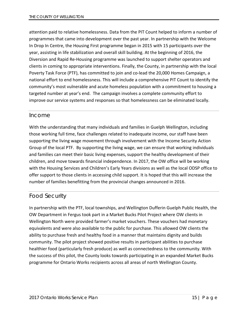attention paid to relative homelessness. Data from the PIT Count helped to inform a number of programmes that came into development over the past year. In partnership with the Welcome In Drop In Centre, the Housing First programme began in 2015 with 15 participants over the year, assisting in life stabilization and overall skill building. At the beginning of 2016, the Diversion and Rapid Re-Housing programme was launched to support shelter operators and clients in coming to appropriate interventions. Finally, the County, in partnership with the local Poverty Task Force (PTF), has committed to join and co-lead the 20,000 Homes Campaign, a national effort to end homelessness. This will include a comprehensive PIT Count to identify the community's most vulnerable and acute homeless population with a commitment to housing a targeted number at year's end. The campaign involves a complete community effort to improve our service systems and responses so that homelessness can be eliminated locally.

#### <span id="page-15-0"></span>Income

With the understanding that many individuals and families in Guelph Wellington, including those working full time, face challenges related to inadequate income, our staff have been supporting the living wage movement through involvement with the Income Security Action Group of the local PTF. By supporting the living wage, we can ensure that working individuals and families can meet their basic living expenses, support the healthy development of their children, and move towards financial independence. In 2017, the OW office will be working with the Housing Services and Children's Early Years divisions as well as the local ODSP office to offer support to those clients in accessing child support. It is hoped that this will increase the number of families benefitting from the provincial changes announced in 2016.

#### <span id="page-15-1"></span>Food Security

In partnership with the PTF, local townships, and Wellington Dufferin Guelph Public Health, the OW Department in Fergus took part in a Market Bucks Pilot Project where OW clients in Wellington North were provided farmer's market vouchers. These vouchers had monetary equivalents and were also available to the public for purchase. This allowed OW clients the ability to purchase fresh and healthy food in a manner that maintains dignity and builds community. The pilot project showed positive results in participant abilities to purchase healthier food (particularly fresh produce) as well as connectedness to the community. With the success of this pilot, the County looks towards participating in an expanded Market Bucks programme for Ontario Works recipients across all areas of north Wellington County.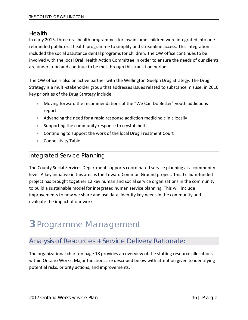#### <span id="page-16-0"></span>Health

In early 2015, three oral health programmes for low income children were integrated into one rebranded public oral health programme to simplify and streamline access. This integration included the social assistance dental programs for children. The OW office continues to be involved with the local Oral Health Action Committee in order to ensure the needs of our clients are understood and continue to be met through this transition period.

The OW office is also an active partner with the Wellington Guelph Drug Strategy. The Drug Strategy is a multi-stakeholder group that addresses issues related to substance misuse; in 2016 key priorities of the Drug Strategy include:

- Moving forward the recommendations of the "We Can Do Better" youth addictions report
- Advancing the need for a rapid response addiction medicine clinic locally
- Supporting the community response to crystal meth
- Continuing to support the work of the local Drug Treatment Court
- Connectivity Table

#### <span id="page-16-1"></span>Integrated Service Planning

The County Social Services Department supports coordinated service planning at a community level. A key initiative in this area is the Toward Common Ground project. This Trillium-funded project has brought together 12 key human and social service organizations in the community to build a sustainable model for integrated human service planning. This will include improvements to how we share and use data, identify key needs in the community and evaluate the impact of our work.

# <span id="page-16-2"></span>**3** Programme Management

## <span id="page-16-3"></span>Analysis of Resources + Service Delivery Rationale:

The organizational chart on page 18 provides an overview of the staffing resource allocations within Ontario Works. Major functions are described below with attention given to identifying potential risks, priority actions, and improvements.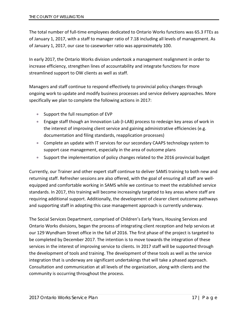The total number of full-time employees dedicated to Ontario Works functions was 65.3 FTEs as of January 1, 2017, with a staff to manager ratio of 7.18 including all levels of management. As of January 1, 2017, our case to caseworker ratio was approximately 100.

In early 2017, the Ontario Works division undertook a management realignment in order to increase efficiency, strengthen lines of accountability and integrate functions for more streamlined support to OW clients as well as staff.

Managers and staff continue to respond effectively to provincial policy changes through ongoing work to update and modify business processes and service delivery approaches. More specifically we plan to complete the following actions in 2017:

- Support the full resumption of EVP
- Engage staff though an Innovation Lab (I-LAB) process to redesign key areas of work in the interest of improving client service and gaining administrative efficiencies (e.g. documentation and filing standards, reapplication processes)
- Complete an update with IT services for our secondary CAAPS technology system to support case management, especially in the area of outcome plans
- Support the implementation of policy changes related to the 2016 provincial budget

Currently, our Trainer and other expert staff continue to deliver SAMS training to both new and returning staff. Refresher sessions are also offered, with the goal of ensuring all staff are wellequipped and comfortable working in SAMS while we continue to meet the established service standards. In 2017, this training will become increasingly targeted to key areas where staff are requiring additional support. Additionally, the development of clearer client outcome pathways and supporting staff in adopting this case management approach is currently underway.

The Social Services Department, comprised of Children's Early Years, Housing Services and Ontario Works divisions, began the process of integrating client reception and help services at our 129 Wyndham Street office in the fall of 2016. The first phase of the project is targeted to be completed by December 2017. The intention is to move towards the integration of these services in the interest of improving service to clients. In 2017 staff will be supported through the development of tools and training. The development of these tools as well as the service integration that is underway are significant undertakings that will take a phased approach. Consultation and communication at all levels of the organization, along with clients and the community is occurring throughout the process.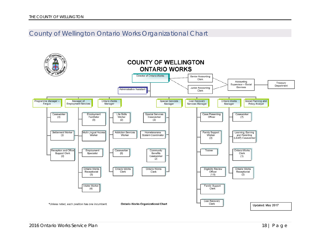## County of Wellington Ontario Works Organizational Chart

<span id="page-18-0"></span>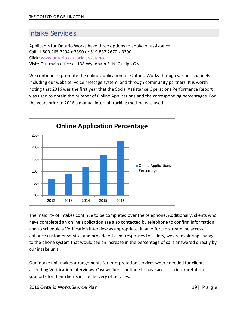## <span id="page-19-0"></span>Intake Services

Applicants for Ontario Works have three options to apply for assistance: **Call**: 1.800.265.7294 x 3390 or 519.837.2670 x 3390 **Click**: [www.ontario.ca/socialassistance](http://www.ontario.ca/socialassistance) **Visit**: Our main office at 138 Wyndham St N. Guelph ON

We continue to promote the online application for Ontario Works through various channels including our website, voice message system, and through community partners. It is worth noting that 2016 was the first year that the Social Assistance Operations Performance Report was used to obtain the number of Online Applications and the corresponding percentages. For the years prior to 2016 a manual internal tracking method was used.



The majority of intakes continue to be completed over the telephone. Additionally, clients who have completed an online application are also contacted by telephone to confirm information and to schedule a Verification Interview as appropriate. In an effort to streamline access, enhance customer service, and provide efficient responses to callers, we are exploring changes to the phone system that would see an increase in the percentage of calls answered directly by our intake unit.

Our intake unit makes arrangements for interpretation services where needed for clients attending Verification Interviews. Caseworkers continue to have access to interpretation supports for their clients in the delivery of services.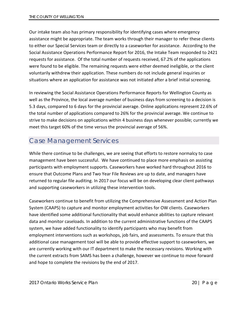Our intake team also has primary responsibility for identifying cases where emergency assistance might be appropriate. The team works through their manager to refer these clients to either our Special Services team or directly to a caseworker for assistance. According to the Social Assistance Operations Performance Report for 2016, the Intake Team responded to 2421 requests for assistance. Of the total number of requests received, 67.2% of the applications were found to be eligible. The remaining requests were either deemed ineligible, or the client voluntarily withdrew their application. These numbers do not include general inquiries or situations where an application for assistance was not initiated after a brief initial screening.

In reviewing the Social Assistance Operations Performance Reports for Wellington County as well as the Province, the local average number of business days from screening to a decision is 5.3 days, compared to 6 days for the provincial average. Online applications represent 22.6% of the total number of applications compared to 26% for the provincial average. We continue to strive to make decisions on applications within 4 business days whenever possible; currently we meet this target 60% of the time versus the provincial average of 56%.

### <span id="page-20-0"></span>Case Management Services

While there continue to be challenges, we are seeing that efforts to restore normalcy to case management have been successful. We have continued to place more emphasis on assisting participants with employment supports. Caseworkers have worked hard throughout 2016 to ensure that Outcome Plans and Two Year File Reviews are up to date, and managers have returned to regular file auditing. In 2017 our focus will be on developing clear client pathways and supporting caseworkers in utilizing these intervention tools.

Caseworkers continue to benefit from utilizing the Comprehensive Assessment and Action Plan System (CAAPS) to capture and monitor employment activities for OW clients. Caseworkers have identified some additional functionality that would enhance abilities to capture relevant data and monitor caseloads. In addition to the current administrative functions of the CAAPS system, we have added functionality to identify participants who may benefit from employment interventions such as workshops, job fairs, and assessments. To ensure that this additional case management tool will be able to provide effective support to caseworkers, we are currently working with our IT department to make the necessary revisions. Working with the current extracts from SAMS has been a challenge, however we continue to move forward and hope to complete the revisions by the end of 2017.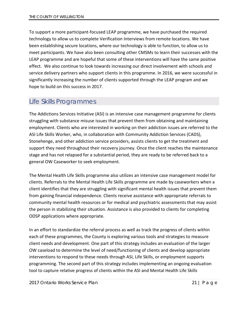To support a more participant-focused LEAP programme, we have purchased the required technology to allow us to complete Verification Interviews from remote locations. We have been establishing secure locations, where our technology is able to function, to allow us to meet participants. We have also been consulting other CMSMs to learn their successes with the LEAP programme and are hopeful that some of these interventions will have the same positive effect. We also continue to look towards increasing our direct involvement with schools and service delivery partners who support clients in this programme. In 2016, we were successful in significantly increasing the number of clients supported through the LEAP program and we hope to build on this success in 2017.

### <span id="page-21-0"></span>Life Skills Programmes

The Addictions Services Initiative (ASI) is an intensive case management programme for clients struggling with substance misuse issues that prevent them from obtaining and maintaining employment. Clients who are interested in working on their addiction issues are referred to the ASI Life Skills Worker, who, in collaboration with Community Addiction Services (CADS), Stonehenge, and other addiction service providers, assists clients to get the treatment and support they need throughout their recovery journey. Once the client reaches the maintenance stage and has not relapsed for a substantial period, they are ready to be referred back to a general OW Caseworker to seek employment.

The Mental Health Life Skills programme also utilizes an intensive case management model for clients. Referrals to the Mental Health Life Skills programme are made by caseworkers when a client identifies that they are struggling with significant mental health issues that prevent them from gaining financial independence. Clients receive assistance with appropriate referrals to community mental health resources or for medical and psychiatric assessments that may assist the person in stabilizing their situation. Assistance is also provided to clients for completing ODSP applications where appropriate.

In an effort to standardize the referral process as well as track the progress of clients within each of these programmes, the County is exploring various tools and strategies to measure client needs and development. One part of this strategy includes an evaluation of the larger OW caseload to determine the level of need/functioning of clients and develop appropriate interventions to respond to these needs through ASI, Life Skills, or employment supports programming. The second part of this strategy includes implementing an ongoing evaluation tool to capture relative progress of clients within the ASI and Mental Health Life Skills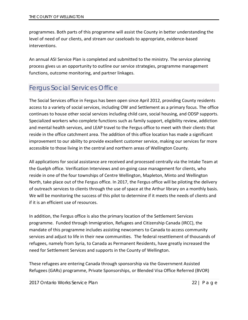programmes. Both parts of this programme will assist the County in better understanding the level of need of our clients, and stream our caseloads to appropriate, evidence-based interventions.

An annual ASI Service Plan is completed and submitted to the ministry. The service planning process gives us an opportunity to outline our service strategies, programme management functions, outcome monitoring, and partner linkages.

## <span id="page-22-0"></span>Fergus Social Services Office

The Social Services office in Fergus has been open since April 2012, providing County residents access to a variety of social services, including OW and Settlement as a primary focus. The office continues to house other social services including child care, social housing, and ODSP supports. Specialized workers who complete functions such as family support, eligibility review, addiction and mental health services, and LEAP travel to the Fergus office to meet with their clients that reside in the office catchment area. The addition of this office location has made a significant improvement to our ability to provide excellent customer service, making our services far more accessible to those living in the central and northern areas of Wellington County.

All applications for social assistance are received and processed centrally via the Intake Team at the Guelph office. Verification Interviews and on-going case management for clients, who reside in one of the four townships of Centre Wellington, Mapleton, Minto and Wellington North, take place out of the Fergus office. In 2017, the Fergus office will be piloting the delivery of outreach services to clients through the use of space at the Arthur library on a monthly basis. We will be monitoring the success of this pilot to determine if it meets the needs of clients and if it is an efficient use of resources.

In addition, the Fergus office is also the primary location of the Settlement Services programme. Funded through [Immigration, Refugees and Citizenship Canada](http://www.cic.gc.ca/english/department/) (IRCC), the mandate of this programme includes assisting newcomers to Canada to access community services and adjust to life in their new communities. The federal resettlement of thousands of refugees, namely from Syria, to Canada as Permanent Residents, have greatly increased the need for Settlement Services and supports in the County of Wellington.

These refugees are entering Canada through sponsorship via the Government Assisted Refugees (GARs) programme, Private Sponsorships, or Blended Visa Office Referred (BVOR)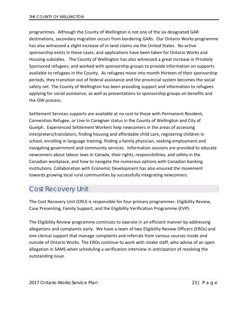programmes. Although the County of Wellington is not one of the six designated GAR destinations, secondary migration occurs from bordering GARs. Our Ontario Works programme has also witnessed a slight increase of in-land claims via the United States. No active sponsorship exists in these cases, and applications have been taken for Ontario Works and Housing subsidies. The County of Wellington has also witnessed a great increase in Privately Sponsored refugees, and worked with sponsorship groups to provide information on supports available to refugees in the County. As refugees move into month thirteen of their sponsorship periods, they transition out of federal assistance and the provincial system becomes the social safety net. The County of Wellington has been providing support and information to refugees applying for social assistance, as well as presentations to sponsorship groups on benefits and the OW process.

Settlement Services supports are available at no cost to those with Permanent Resident, Convention Refugee, or Live-In Caregiver status in the County of Wellington and City of Guelph. Experienced Settlement Workers help newcomers in the areas of accessing interpreters/translators, finding housing and affordable child care, registering children in school, enrolling in language training, finding a family physician, seeking employment and navigating government and community services. Information sessions are provided to educate newcomers about labour laws in Canada, their rights, responsibilities, and safety in the Canadian workplace, and how to navigate the numerous options with Canadian banking institutions. Collaboration with Economic Development has also ensured the movement towards growing local rural communities by successfully integrating newcomers.

## <span id="page-23-0"></span>Cost Recovery Unit

The Cost Recovery Unit (CRU) is responsible for four primary programmes: Eligibility Review, Case Presenting, Family Support, and the Eligibility Verification Programme (EVP).

The Eligibility Review programme continues to operate in an efficient manner by addressing allegations and complaints early. We have a team of two Eligibility Review Officers (EROs) and one clerical support that manage complaints and referrals from various sources inside and outside of Ontario Works. The EROs continue to work with intake staff, who advise of an open allegation in SAMS when scheduling a verification interview in anticipation of resolving the outstanding issue.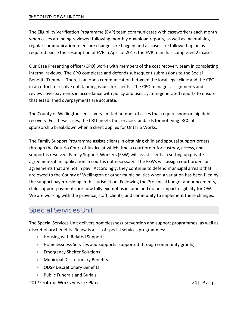The Eligibility Verification Programme (EVP) team communicates with caseworkers each month when cases are being reviewed following monthly download reports, as well as maintaining regular communication to ensure changes are flagged and all cases are followed up on as required. Since the resumption of EVP in April of 2017, the EVP team has completed 22 cases.

Our Case Presenting officer (CPO) works with members of the cost recovery team in completing internal reviews. The CPO completes and defends subsequent submissions to the Social Benefits Tribunal. There is an open communication between the local legal clinic and the CPO in an effort to resolve outstanding issues for clients. The CPO manages assignments and reviews overpayments in accordance with policy and uses system-generated reports to ensure that established overpayments are accurate.

The County of Wellington sees a very limited number of cases that require sponsorship debt recovery. For these cases, the CRU meets the service standards for notifying IRCC of sponsorship breakdown when a client applies for Ontario Works.

The Family Support Programme assists clients in obtaining child and spousal support orders through the Ontario Court of Justice at which time a court order for custody, access, and support is resolved. Family Support Workers (FSW) will assist clients in setting up private agreements if an application in court is not necessary. The FSWs will assign court orders or agreements that are not in pay. Accordingly, they continue to defend municipal arrears that are owed to the County of Wellington or other municipalities when a variation has been filed by the support payer residing in this jurisdiction. Following the Provincial budget announcements, child support payments are now fully exempt as income and do not impact eligibility for OW. We are working with the province, staff, clients, and community to implement these changes.

## <span id="page-24-0"></span>Special Services Unit

The Special Services Unit delivers homelessness prevention and support programmes, as well as discretionary benefits. Below is a list of special services programmes:

- Housing with Related Supports
- Homelessness Services and Supports (supported through community grants)
- Emergency Shelter Solutions
- Municipal Discretionary Benefits
- ODSP Discretionary Benefits
- Public Funerals and Burials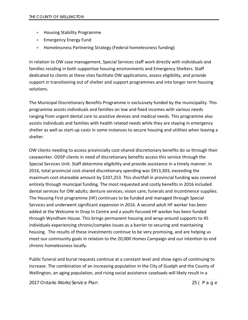- Housing Stability Programme
- Emergency Energy Fund
- Homelessness Partnering Strategy (Federal homelessness funding)

In relation to OW case management, Special Services staff work directly with individuals and families residing in both supportive housing environments and Emergency Shelters. Staff dedicated to clients at these sites facilitate OW applications, assess eligibility, and provide support in transitioning out of shelter and support programmes and into longer term housing solutions.

The Municipal Discretionary Benefits Programme is exclusively funded by the municipality. This programme assists individuals and families on low and fixed incomes with various needs ranging from urgent dental care to assistive devices and medical needs. This programme also assists individuals and families with health related needs while they are staying in emergency shelter as well as start-up costs in some instances to secure housing and utilities when leaving a shelter.

OW clients needing to access provincially cost-shared discretionary benefits do so through their caseworker. ODSP clients in need of discretionary benefits access this service through the Special Services Unit. Staff determine eligibility and provide assistance in a timely manner. In 2016, total provincial cost-shared discretionary spending was \$913,303, exceeding the maximum cost-shareable amount by \$107,253. This shortfall in provincial funding was covered entirely through municipal funding. The most requested and costly benefits in 2016 included dental services for OW adults; denture services; vision care; funerals and incontinence supplies. The Housing First programme (HF) continues to be funded and managed through Special Services and underwent significant expansion in 2016. A second adult HF worker has been added at the Welcome In Drop In Centre and a youth-focused HF worker has been funded through Wyndham House. This brings permanent housing and wrap-around supports to 45 individuals experiencing chronic/complex issues as a barrier to securing and maintaining housing. The results of these investments continue to be very promising, and are helping us meet our community goals in relation to the 20,000 Homes Campaign and our intention to end chronic homelessness locally.

Public funeral and burial requests continue at a constant level and show signs of continuing to increase. The combination of an increasing population in the City of Guelph and the County of Wellington, an aging population, and rising social assistance caseloads will likely result in a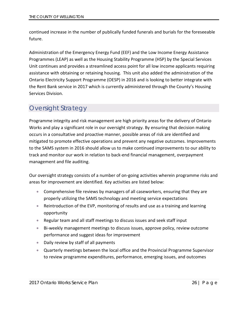continued increase in the number of publically funded funerals and burials for the foreseeable future.

Administration of the Emergency Energy Fund (EEF) and the Low Income Energy Assistance Programmes (LEAP) as well as the Housing Stability Programme (HSP) by the Special Services Unit continues and provides a streamlined access point for all low income applicants requiring assistance with obtaining or retaining housing. This unit also added the administration of the Ontario Electricity Support Programme (OESP) in 2016 and is looking to better integrate with the Rent Bank service in 2017 which is currently administered through the County's Housing Services Division.

## <span id="page-26-0"></span>Oversight Strategy

Programme integrity and risk management are high priority areas for the delivery of Ontario Works and play a significant role in our oversight strategy. By ensuring that decision making occurs in a consultative and proactive manner, possible areas of risk are identified and mitigated to promote effective operations and prevent any negative outcomes. Improvements to the SAMS system in 2016 should allow us to make continued improvements to our ability to track and monitor our work in relation to back-end financial management, overpayment management and file auditing.

Our oversight strategy consists of a number of on-going activities wherein programme risks and areas for improvement are identified. Key activities are listed below:

- Comprehensive file reviews by managers of all caseworkers, ensuring that they are properly utilizing the SAMS technology and meeting service expectations
- Reintroduction of the EVP, monitoring of results and use as a training and learning opportunity
- Regular team and all staff meetings to discuss issues and seek staff input
- Bi-weekly management meetings to discuss issues, approve policy, review outcome performance and suggest ideas for improvement
- Daily review by staff of all payments
- Quarterly meetings between the local office and the Provincial Programme Supervisor to review programme expenditures, performance, emerging issues, and outcomes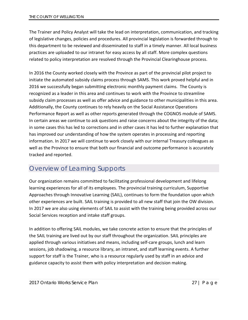The Trainer and Policy Analyst will take the lead on interpretation, communication, and tracking of legislative changes, policies and procedures. All provincial legislation is forwarded through to this department to be reviewed and disseminated to staff in a timely manner. All local business practices are uploaded to our intranet for easy access by all staff. More complex questions related to policy interpretation are resolved through the Provincial Clearinghouse process.

In 2016 the County worked closely with the Province as part of the provincial pilot project to initiate the automated subsidy claims process through SAMS. This work proved helpful and in 2016 we successfully began submitting electronic monthly payment claims. The County is recognized as a leader in this area and continues to work with the Province to streamline subsidy claim processes as well as offer advice and guidance to other municipalities in this area. Additionally, the County continues to rely heavily on the Social Assistance Operations Performance Report as well as other reports generated through the COGNOS module of SAMS. In certain areas we continue to ask questions and raise concerns about the integrity of the data; in some cases this has led to corrections and in other cases it has led to further explanation that has improved our understanding of how the system operates in processing and reporting information. In 2017 we will continue to work closely with our internal Treasury colleagues as well as the Province to ensure that both our financial and outcome performance is accurately tracked and reported.

## <span id="page-27-0"></span>Overview of Learning Supports

Our organization remains committed to facilitating professional development and lifelong learning experiences for all of its employees. The provincial training curriculum, Supportive Approaches through Innovative Learning (SAIL), continues to form the foundation upon which other experiences are built. SAIL training is provided to all new staff that join the OW division. In 2017 we are also using elements of SAIL to assist with the training being provided across our Social Services reception and intake staff groups.

In addition to offering SAIL modules, we take concrete action to ensure that the principles of the SAIL training are lived out by our staff throughout the organization. SAIL principles are applied through various initiatives and means, including self-care groups, lunch and learn sessions, job shadowing, a resource library, an intranet, and staff learning events. A further support for staff is the Trainer, who is a resource regularly used by staff in an advice and guidance capacity to assist them with policy interpretation and decision making.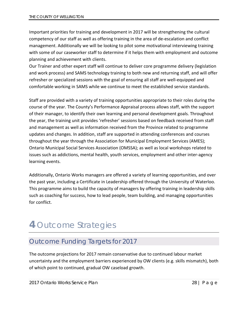Important priorities for training and development in 2017 will be strengthening the cultural competency of our staff as well as offering training in the area of de-escalation and conflict management. Additionally we will be looking to pilot some motivational interviewing training with some of our caseworker staff to determine if it helps them with employment and outcome planning and achievement with clients.

Our Trainer and other expert staff will continue to deliver core programme delivery (legislation and work process) and SAMS technology training to both new and returning staff, and will offer refresher or specialized sessions with the goal of ensuring all staff are well-equipped and comfortable working in SAMS while we continue to meet the established service standards.

Staff are provided with a variety of training opportunities appropriate to their roles during the course of the year. The County's Performance Appraisal process allows staff, with the support of their manager, to identify their own learning and personal development goals. Throughout the year, the training unit provides 'refresher' sessions based on feedback received from staff and management as well as information received from the Province related to programme updates and changes. In addition, staff are supported in attending conferences and courses throughout the year through the Association for Municipal Employment Services (AMES); Ontario Municipal Social Services Association (OMSSA); as well as local workshops related to issues such as addictions, mental health, youth services, employment and other inter-agency learning events.

Additionally, Ontario Works managers are offered a variety of learning opportunities, and over the past year, including a Certificate in Leadership offered through the University of Waterloo. This programme aims to build the capacity of managers by offering training in leadership skills such as coaching for success, how to lead people, team building, and managing opportunities for conflict.

# <span id="page-28-0"></span>**4** Outcome Strategies

# <span id="page-28-1"></span>Outcome Funding Targets for 2017

The outcome projections for 2017 remain conservative due to continued labour market uncertainty and the employment barriers experienced by OW clients (e.g. skills mismatch), both of which point to continued, gradual OW caseload growth.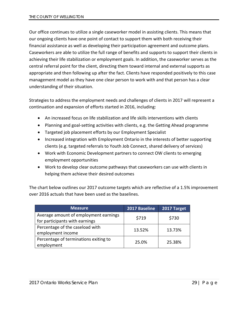Our office continues to utilize a single caseworker model in assisting clients. This means that our ongoing clients have one point of contact to support them with both receiving their financial assistance as well as developing their participation agreement and outcome plans. Caseworkers are able to utilize the full range of benefits and supports to support their clients in achieving their life stabilization or employment goals. In addition, the caseworker serves as the central referral point for the client, directing them toward internal and external supports as appropriate and then following up after the fact. Clients have responded positively to this case management model as they have one clear person to work with and that person has a clear understanding of their situation.

Strategies to address the employment needs and challenges of clients in 2017 will represent a continuation and expansion of efforts started in 2016, including:

- An increased focus on life stabilization and life skills interventions with clients
- Planning and goal-setting activities with clients, e.g. the Getting Ahead programme
- Targeted job placement efforts by our Employment Specialist
- Increased integration with Employment Ontario in the interests of better supporting clients (e.g. targeted referrals to Youth Job Connect, shared delivery of services)
- Work with Economic Development partners to connect OW clients to emerging employment opportunities
- Work to develop clear outcome pathways that caseworkers can use with clients in helping them achieve their desired outcomes

The chart below outlines our 2017 outcome targets which are reflective of a 1.5% improvement over 2016 actuals that have been used as the baselines.

| <b>Measure</b>                                                          | 2017 Baseline | 2017 Target |
|-------------------------------------------------------------------------|---------------|-------------|
| Average amount of employment earnings<br>for participants with earnings | \$719         | \$730       |
| Percentage of the caseload with<br>employment income                    | 13.52%        | 13.73%      |
| Percentage of terminations exiting to<br>employment                     | 25.0%         | 25.38%      |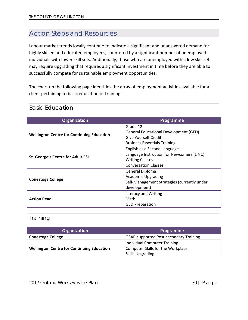## <span id="page-30-0"></span>Action Steps and Resources

Labour market trends locally continue to indicate a significant and unanswered demand for highly skilled and educated employees, countered by a significant number of unemployed individuals with lower skill sets. Additionally, those who are unemployed with a low skill set may require upgrading that requires a significant investment in time before they are able to successfully compete for sustainable employment opportunities.

The chart on the following page identifies the array of employment activities available for a client pertaining to basic education or training.

| <b>Organization</b>                               | Programme                                   |
|---------------------------------------------------|---------------------------------------------|
|                                                   | Grade 12                                    |
| <b>Wellington Centre for Continuing Education</b> | General Educational Development (GED)       |
|                                                   | Give Yourself Credit                        |
|                                                   | <b>Business Essentials Training</b>         |
|                                                   | English as a Second Language                |
|                                                   | Language Instruction for Newcomers (LINC)   |
| St. George's Centre for Adult ESL                 | <b>Writing Classes</b>                      |
|                                                   | <b>Conversation Classes</b>                 |
|                                                   | General Diploma                             |
|                                                   | <b>Academic Upgrading</b>                   |
| <b>Conestoga College</b>                          | Self-Management Strategies (currently under |
|                                                   | development)                                |
|                                                   | Literacy and Writing                        |
| <b>Action Read</b>                                | Math                                        |
|                                                   | <b>GED Preparation</b>                      |

#### <span id="page-30-1"></span>Basic Education

#### <span id="page-30-2"></span>**Training**

| Organization                                      | Programme                                     |
|---------------------------------------------------|-----------------------------------------------|
| <b>Conestoga College</b>                          | <b>OSAP-supported Post-secondary Training</b> |
|                                                   | <b>Individual Computer Training</b>           |
| <b>Wellington Centre for Continuing Education</b> | <b>Computer Skills for the Workplace</b>      |
|                                                   | <b>Skills Upgrading</b>                       |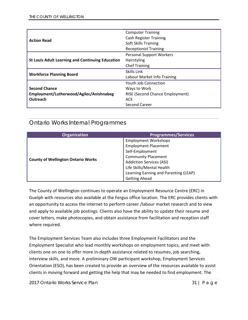|                                                         | <b>Computer Training</b>               |
|---------------------------------------------------------|----------------------------------------|
| <b>Action Read</b>                                      | <b>Cash Register Training</b>          |
|                                                         | <b>Soft Skills Training</b>            |
|                                                         | <b>Receptionist Training</b>           |
|                                                         | <b>Personal Support Workers</b>        |
| <b>St Louis Adult Learning and Continuing Education</b> | Hairstyling                            |
|                                                         | <b>Chef Training</b>                   |
| <b>Workforce Planning Board</b>                         | Skills Link                            |
|                                                         | Labour Market Info Training            |
|                                                         | Youth Job Connection                   |
| <b>Second Chance</b>                                    | Ways to Work                           |
| Employment/Lutherwood/Agilec/Anishnabeg                 | <b>RISE (Second Chance Employment)</b> |
| Outreach                                                | <b>ACE</b>                             |
|                                                         | Second Career                          |

### <span id="page-31-0"></span>Ontario Works Internal Programmes

| <b>Organization</b>                       | <b>Programmes/Services</b>            |
|-------------------------------------------|---------------------------------------|
| <b>County of Wellington Ontario Works</b> | <b>Employment Workshops</b>           |
|                                           | <b>Employment Placement</b>           |
|                                           | Self-Employment                       |
|                                           | <b>Community Placement</b>            |
|                                           | <b>Addiction Services (ASI)</b>       |
|                                           | Life Skills/Mental Health             |
|                                           | Learning Earning and Parenting (LEAP) |
|                                           | <b>Getting Ahead</b>                  |

The County of Wellington continues to operate an Employment Resource Centre (ERC) in Guelph with resources also available at the Fergus office location. The ERC provides clients with an opportunity to access the internet to perform career /labour market research and to view and apply to available job postings. Clients also have the ability to update their resume and cover letters, make photocopies, and obtain assistance from facilitation and reception staff where required.

The Employment Services Team also includes three Employment Facilitators and the Employment Specialist who lead monthly workshops on employment topics, and meet with clients one on one to offer more in-depth assistance related to resumes, job searching, interview skills, and more. A preliminary OW participant workshop, Employment Services Orientation (ESO), has been created to provide an overview of the resources available to assist clients in moving forward and getting the help that may be needed to find employment. The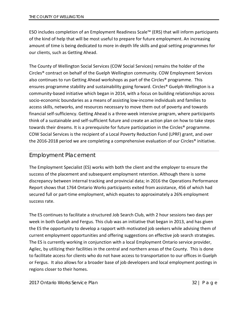ESO includes completion of an Employment Readiness Scale™ (ERS) that will inform participants of the kind of help that will be most useful to prepare for future employment. An increasing amount of time is being dedicated to more in-depth life skills and goal setting programmes for our clients, such as Getting Ahead.

The County of Wellington Social Services (COW Social Services) remains the holder of the Circles® contract on behalf of the Guelph Wellington community. COW Employment Services also continues to run Getting Ahead workshops as part of the Circles® programme. This ensures programme stability and sustainability going forward. Circles® Guelph-Wellington is a community-based initiative which began in 2014, with a focus on building relationships across socio-economic boundaries as a means of assisting low-income individuals and families to access skills, networks, and resources necessary to move them out of poverty and towards financial self-sufficiency. Getting Ahead is a three-week intensive program, where participants think of a sustainable and self-sufficient future and create an action plan on how to take steps towards their dreams. It is a prerequisite for future participation in the Circles® programme. COW Social Services is the recipient of a Local Poverty Reduction Fund (LPRF) grant, and over the 2016-2018 period we are completing a comprehensive evaluation of our Circles® initiative.

#### <span id="page-32-0"></span>Employment Placement

The Employment Specialist (ES) works with both the client and the employer to ensure the success of the placement and subsequent employment retention. Although there is some discrepancy between internal tracking and provincial data; in 2016 the Operations Performance Report shows that 1764 Ontario Works participants exited from assistance, 456 of which had secured full or part-time employment, which equates to approximately a 26% employment success rate.

The ES continues to facilitate a structured Job Search Club, with 2 hour sessions two days per week in both Guelph and Fergus. This club was an initiative that began in 2013, and has given the ES the opportunity to develop a rapport with motivated job seekers while advising them of current employment opportunities and offering suggestions on effective job search strategies. The ES is currently working in conjunction with a local Employment Ontario service provider, Agilec, by utilizing their facilities in the central and northern areas of the County. This is done to facilitate access for clients who do not have access to transportation to our offices in Guelph or Fergus. It also allows for a broader base of job developers and local employment postings in regions closer to their homes.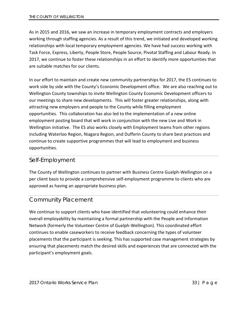As in 2015 and 2016, we saw an increase in temporary employment contracts and employers working through staffing agencies. As a result of this trend, we initiated and developed working relationships with local temporary employment agencies. We have had success working with Task Force, Express, Liberty, People Store, People Source, Pivotal Staffing and Labour Ready. In 2017, we continue to foster these relationships in an effort to identify more opportunities that are suitable matches for our clients.

In our effort to maintain and create new community partnerships for 2017, the ES continues to work side by side with the County's Economic Development office. We are also reaching out to Wellington County townships to invite Wellington County Economic Development officers to our meetings to share new developments. This will foster greater relationships, along with attracting new employers and people to the County while filling employment opportunities. This collaboration has also led to the implementation of a new online employment posting board that will work in conjunction with the new Live and Work in Wellington initiative. The ES also works closely with Employment teams from other regions including Waterloo Region, Niagara Region, and Dufferin County to share best practices and continue to create supportive programmes that will lead to employment and business opportunities.

#### <span id="page-33-0"></span>Self-Employment

The County of Wellington continues to partner with Business Centre Guelph-Wellington on a per client basis to provide a comprehensive self-employment programme to clients who are approved as having an appropriate business plan.

#### <span id="page-33-1"></span>Community Placement

We continue to support clients who have identified that volunteering could enhance their overall employability by maintaining a formal partnership with the People and Information Network (formerly the Volunteer Centre of Guelph-Wellington). This coordinated effort continues to enable caseworkers to receive feedback concerning the types of volunteer placements that the participant is seeking. This has supported case management strategies by ensuring that placements match the desired skills and experiences that are connected with the participant's employment goals.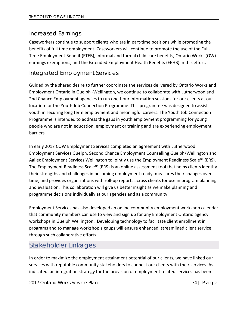### <span id="page-34-0"></span>Increased Earnings

Caseworkers continue to support clients who are in part-time positions while promoting the benefits of full time employment. Caseworkers will continue to promote the use of the Full-Time Employment Benefit (FTEB), informal and formal child care benefits, Ontario Works (OW) earnings exemptions, and the Extended Employment Health Benefits (EEHB) in this effort.

### <span id="page-34-1"></span>Integrated Employment Services

Guided by the shared desire to further coordinate the services delivered by Ontario Works and Employment Ontario in Guelph -Wellington, we continue to collaborate with Lutherwood and 2nd Chance Employment agencies to run one-hour information sessions for our clients at our location for the Youth Job Connection Programme. This programme was designed to assist youth in securing long term employment and meaningful careers. The Youth Job Connection Programme is intended to address the gaps in youth employment programming for young people who are not in education, employment or training and are experiencing employment barriers.

In early 2017 COW Employment Services completed an agreement with Lutherwood Employment Services Guelph, Second Chance Employment Counselling Guelph/Wellington and Agilec Employment Services Wellington to jointly use the Employment Readiness Scale<sup>™</sup> (ERS). The Employment Readiness Scale™ (ERS) is an online assessment tool that helps clients identify their strengths and challenges in becoming employment ready, measures their changes over time, and provides organizations with roll-up reports across clients for use in program planning and evaluation. This collaboration will give us better insight as we make planning and programme decisions individually at our agencies and as a community.

Employment Services has also developed an online community employment workshop calendar that community members can use to view and sign up for any Employment Ontario agency workshops in Guelph Wellington. Developing technology to facilitate client enrollment in programs and to manage workshop signups will ensure enhanced, streamlined client service through such collaborative efforts.

## <span id="page-34-2"></span>Stakeholder Linkages

In order to maximize the employment attainment potential of our clients, we have linked our services with reputable community stakeholders to connect our clients with their services. As indicated, an integration strategy for the provision of employment related services has been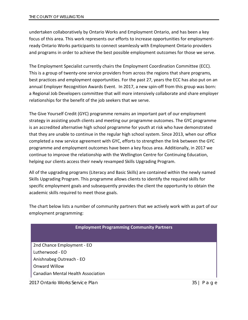undertaken collaboratively by Ontario Works and Employment Ontario, and has been a key focus of this area. This work represents our efforts to increase opportunities for employmentready Ontario Works participants to connect seamlessly with Employment Ontario providers and programs in order to achieve the best possible employment outcomes for those we serve.

The Employment Specialist currently chairs the Employment Coordination Committee (ECC). This is a group of twenty-one service providers from across the regions that share programs, best practices and employment opportunities. For the past 27, years the ECC has also put on an annual Employer Recognition Awards Event. In 2017, a new spin-off from this group was born: a Regional Job Developers committee that will more intensively collaborate and share employer relationships for the benefit of the job seekers that we serve.

The Give Yourself Credit (GYC) programme remains an important part of our employment strategy in assisting youth clients and meeting our programme outcomes. The GYC programme is an accredited alternative high school programme for youth at risk who have demonstrated that they are unable to continue in the regular high school system. Since 2013, when our office completed a new service agreement with GYC, efforts to strengthen the link between the GYC programme and employment outcomes have been a key focus area. Additionally, in 2017 we continue to improve the relationship with the Wellington Centre for Continuing Education, helping our clients access their newly revamped Skills Upgrading Program.

All of the upgrading programs (Literacy and Basic Skills) are contained within the newly named Skills Upgrading Program. This programme allows clients to identify the required skills for specific employment goals and subsequently provides the client the opportunity to obtain the academic skills required to meet those goals.

The chart below lists a number of community partners that we actively work with as part of our employment programming:

| <b>Employment Programming Community Partners</b> |  |
|--------------------------------------------------|--|
| 2nd Chance Employment - EO                       |  |
| Lutherwood - EO                                  |  |
| Anishnabeg Outreach - EO                         |  |
| <b>Onward Willow</b>                             |  |
| <b>Canadian Mental Health Association</b>        |  |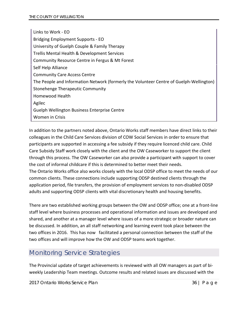Links to Work - EO Bridging Employment Supports - EO University of Guelph Couple & Family Therapy Trellis Mental Health & Development Services Community Resource Centre in Fergus & Mt Forest Self Help Alliance Community Care Access Centre The People and Information Network (formerly the Volunteer Centre of Guelph-Wellington) Stonehenge Therapeutic Community Homewood Health Agilec Guelph Wellington Business Enterprise Centre Women in Crisis

In addition to the partners noted above, Ontario Works staff members have direct links to their colleagues in the Child Care Services division of COW Social Services in order to ensure that participants are supported in accessing a fee subsidy if they require licenced child care. Child Care Subsidy Staff work closely with the client and the OW Caseworker to support the client through this process. The OW Caseworker can also provide a participant with support to cover the cost of informal childcare if this is determined to better meet their needs. The Ontario Works office also works closely with the local ODSP office to meet the needs of our common clients. These connections include supporting ODSP destined clients through the application period, file transfers, the provision of employment services to non-disabled ODSP adults and supporting ODSP clients with vital discretionary health and housing benefits.

There are two established working groups between the OW and ODSP office; one at a front-line staff level where business processes and operational information and issues are developed and shared, and another at a manager level where issues of a more strategic or broader nature can be discussed. In addition, an all staff networking and learning event took place between the two offices in 2016. This has now facilitated a personal connection between the staff of the two offices and will improve how the OW and ODSP teams work together.

# <span id="page-36-0"></span>Monitoring Service Strategies

The Provincial update of target achievements is reviewed with all OW managers as part of biweekly Leadership Team meetings. Outcome results and related issues are discussed with the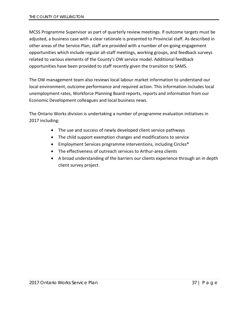MCSS Programme Supervisor as part of quarterly review meetings. If outcome targets must be adjusted, a business case with a clear rationale is presented to Provincial staff. As described in other areas of the Service Plan, staff are provided with a number of on-going engagement opportunities which include regular all-staff meetings, working groups, and feedback surveys related to various elements of the County's OW service model. Additional feedback opportunities have been provided to staff recently given the transition to SAMS.

The OW management team also reviews local labour market information to understand our local environment, outcome performance and required action. This information includes local unemployment rates, Workforce Planning Board reports, reports and information from our Economic Development colleagues and local business news.

The Ontario Works division is undertaking a number of programme evaluation initiatives in 2017 including:

- The use and success of newly developed client service pathways
- The child support exemption changes and modifications to service
- Employment Services programme interventions, including Circles<sup>®</sup>
- The effectiveness of outreach services to Arthur-area clients
- A broad understanding of the barriers our clients experience through an in depth client survey project.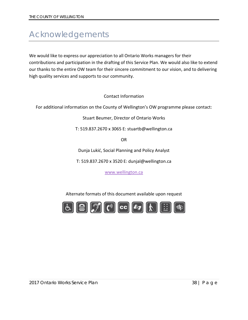# <span id="page-38-0"></span>Acknowledgements

We would like to express our appreciation to all Ontario Works managers for their contributions and participation in the drafting of this Service Plan. We would also like to extend our thanks to the entire OW team for their sincere commitment to our vision, and to delivering high quality services and supports to our community.

Contact Information

For additional information on the County of Wellington's OW programme please contact:

Stuart Beumer, Director of Ontario Works

T: 519.837.2670 x 3065 E: stuartb@wellington.ca

OR

Dunja Lukić, Social Planning and Policy Analyst

T: 519.837.2670 x 3520 E: dunjal@wellington.ca

[www.wellington.ca](http://www.wellington.ca/)

Alternate formats of this document available upon request